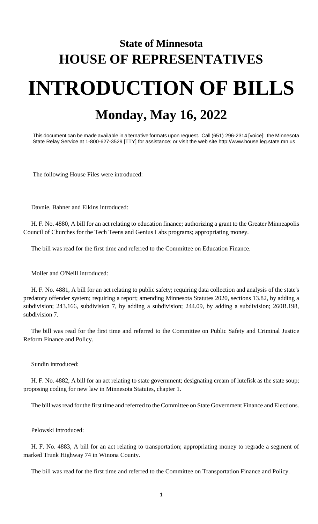## **State of Minnesota HOUSE OF REPRESENTATIVES INTRODUCTION OF BILLS Monday, May 16, 2022**

This document can be made available in alternative formats upon request. Call (651) 296-2314 [voice]; the Minnesota State Relay Service at 1-800-627-3529 [TTY] for assistance; or visit the web site http://www.house.leg.state.mn.us

The following House Files were introduced:

Davnie, Bahner and Elkins introduced:

H. F. No. 4880, A bill for an act relating to education finance; authorizing a grant to the Greater Minneapolis Council of Churches for the Tech Teens and Genius Labs programs; appropriating money.

The bill was read for the first time and referred to the Committee on Education Finance.

Moller and O'Neill introduced:

H. F. No. 4881, A bill for an act relating to public safety; requiring data collection and analysis of the state's predatory offender system; requiring a report; amending Minnesota Statutes 2020, sections 13.82, by adding a subdivision; 243.166, subdivision 7, by adding a subdivision; 244.09, by adding a subdivision; 260B.198, subdivision 7.

The bill was read for the first time and referred to the Committee on Public Safety and Criminal Justice Reform Finance and Policy.

Sundin introduced:

H. F. No. 4882, A bill for an act relating to state government; designating cream of lutefisk as the state soup; proposing coding for new law in Minnesota Statutes, chapter 1.

The bill was read for the first time and referred to the Committee on State Government Finance and Elections.

Pelowski introduced:

H. F. No. 4883, A bill for an act relating to transportation; appropriating money to regrade a segment of marked Trunk Highway 74 in Winona County.

The bill was read for the first time and referred to the Committee on Transportation Finance and Policy.